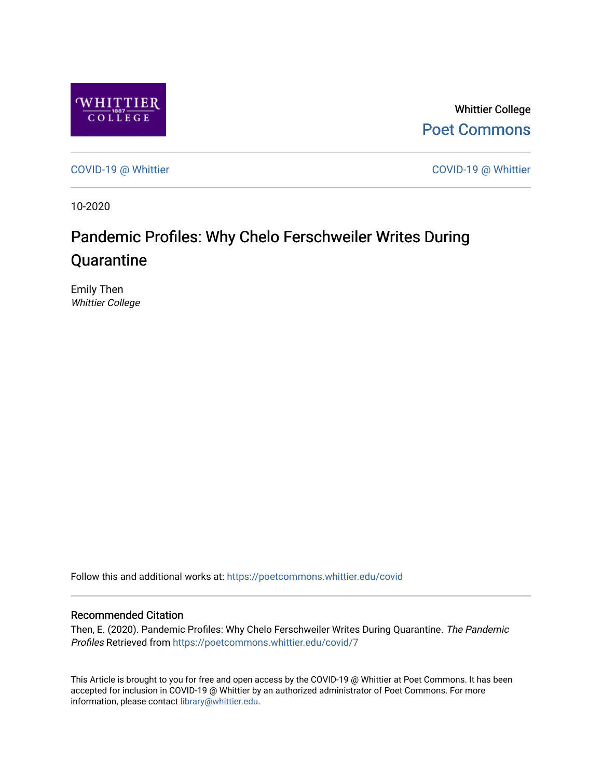

Whittier College [Poet Commons](https://poetcommons.whittier.edu/) 

[COVID-19 @ Whittier](https://poetcommons.whittier.edu/covid) [COVID-19 @ Whittier](https://poetcommons.whittier.edu/covid_whittier) 

10-2020

## Pandemic Profiles: Why Chelo Ferschweiler Writes During **Quarantine**

Emily Then Whittier College

Follow this and additional works at: [https://poetcommons.whittier.edu/covid](https://poetcommons.whittier.edu/covid?utm_source=poetcommons.whittier.edu%2Fcovid%2F7&utm_medium=PDF&utm_campaign=PDFCoverPages)

## Recommended Citation

Then, E. (2020). Pandemic Profiles: Why Chelo Ferschweiler Writes During Quarantine. The Pandemic Profiles Retrieved from [https://poetcommons.whittier.edu/covid/7](https://poetcommons.whittier.edu/covid/7?utm_source=poetcommons.whittier.edu%2Fcovid%2F7&utm_medium=PDF&utm_campaign=PDFCoverPages) 

This Article is brought to you for free and open access by the COVID-19 @ Whittier at Poet Commons. It has been accepted for inclusion in COVID-19 @ Whittier by an authorized administrator of Poet Commons. For more information, please contact [library@whittier.edu.](mailto:library@whittier.edu)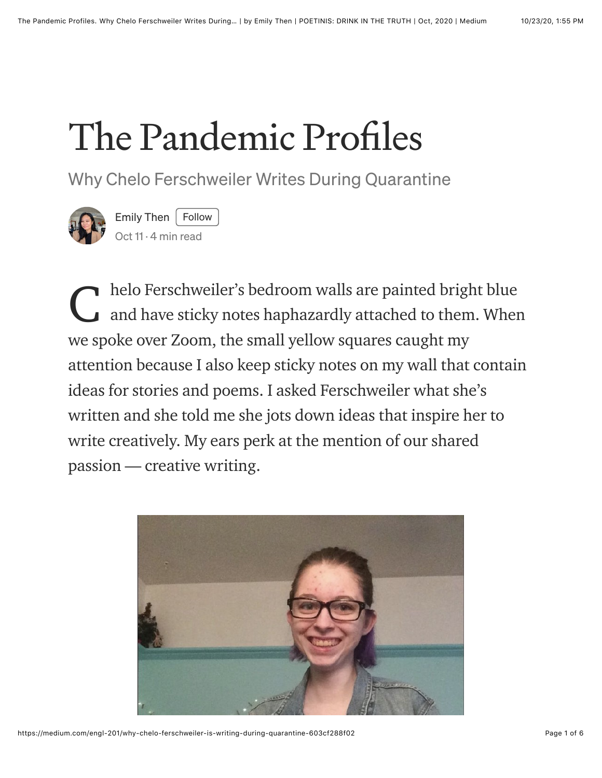## The Pandemic Profiles

## Why Chelo Ferschweiler Writes During Quarantine



[Emily Then](https://medium.com/@emilykthen?source=post_page-----603cf288f02--------------------------------)  $|$  Follow [Oct 11](https://medium.com/engl-201/why-chelo-ferschweiler-is-writing-during-quarantine-603cf288f02?source=post_page-----603cf288f02--------------------------------) · 4 min read

helo Ferschweiler's bedroom walls are painted bright blue and have sticky notes haphazardly attached to them. When we spoke over Zoom, the small yellow squares caught my attention because I also keep sticky notes on my wall that contain ideas for stories and poems. I asked Ferschweiler what she's written and she told me she jots down ideas that inspire her to write creatively. My ears perk at the mention of our shared passion — creative writing. C

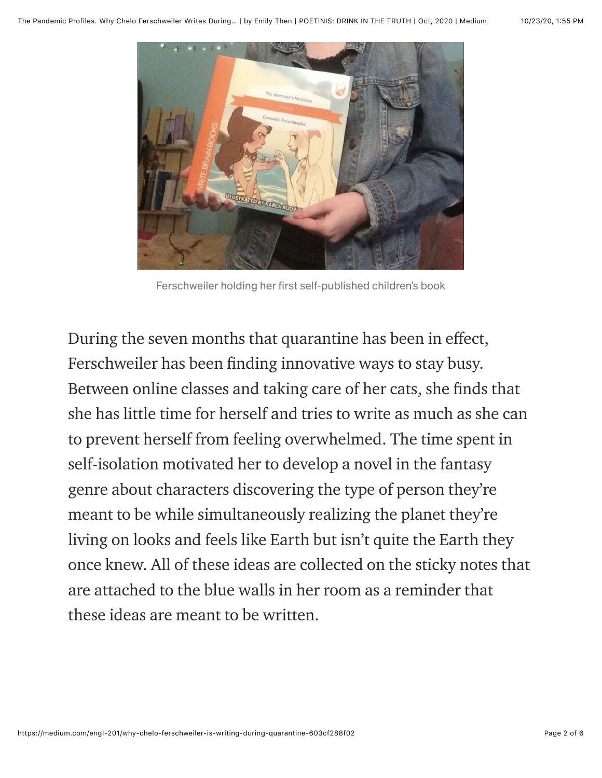

Ferschweiler holding her first self-published children's book

During the seven months that quarantine has been in effect, Ferschweiler has been finding innovative ways to stay busy. Between online classes and taking care of her cats, she finds that she has little time for herself and tries to write as much as she can to prevent herself from feeling overwhelmed. The time spent in self-isolation motivated her to develop a novel in the fantasy genre about characters discovering the type of person they're meant to be while simultaneously realizing the planet they're living on looks and feels like Earth but isn't quite the Earth they once knew. All of these ideas are collected on the sticky notes that are attached to the blue walls in her room as a reminder that these ideas are meant to be written.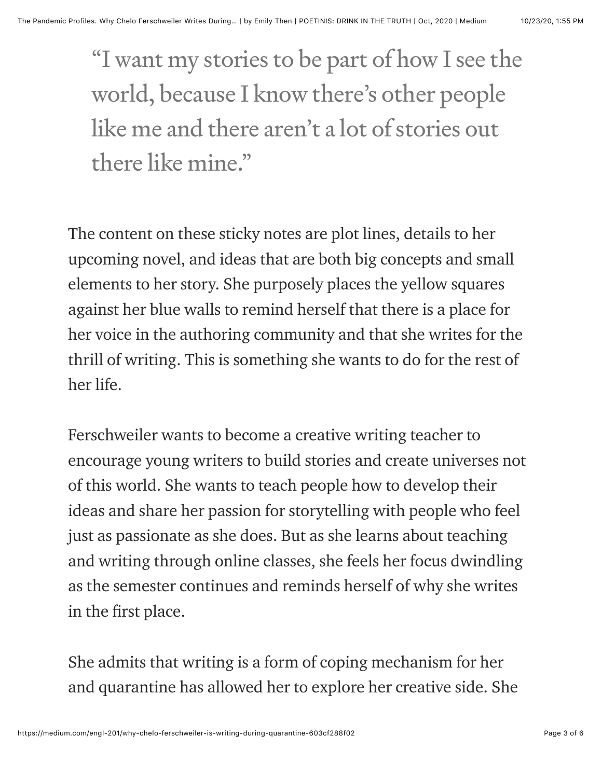"I want my stories to be part of how I see the world, because I know there's other people like me and there aren't a lot of stories out there like mine."

The content on these sticky notes are plot lines, details to her upcoming novel, and ideas that are both big concepts and small elements to her story. She purposely places the yellow squares against her blue walls to remind herself that there is a place for her voice in the authoring community and that she writes for the thrill of writing. This is something she wants to do for the rest of her life.

Ferschweiler wants to become a creative writing teacher to encourage young writers to build stories and create universes not of this world. She wants to teach people how to develop their ideas and share her passion for storytelling with people who feel just as passionate as she does. But as she learns about teaching and writing through online classes, she feels her focus dwindling as the semester continues and reminds herself of why she writes in the first place.

She admits that writing is a form of coping mechanism for her and quarantine has allowed her to explore her creative side. She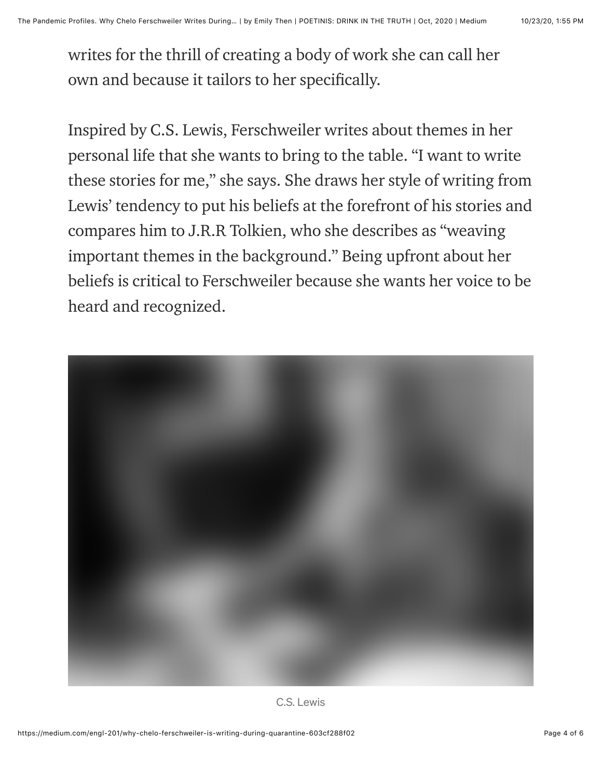writes for the thrill of creating a body of work she can call her own and because it tailors to her specifically.

Inspired by C.S. Lewis, Ferschweiler writes about themes in her personal life that she wants to bring to the table. "I want to write these stories for me," she says. She draws her style of writing from Lewis' tendency to put his beliefs at the forefront of his stories and compares him to J.R.R Tolkien, who she describes as "weaving important themes in the background." Being upfront about her beliefs is critical to Ferschweiler because she wants her voice to be heard and recognized.



C.S. Lewis